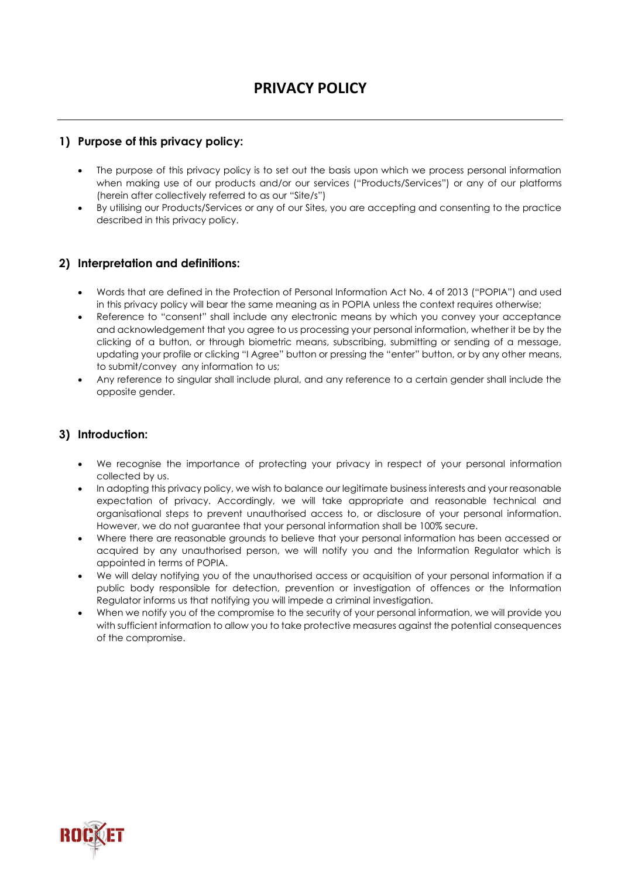## **1) Purpose of this privacy policy:**

- The purpose of this privacy policy is to set out the basis upon which we process personal information when making use of our products and/or our services ("Products/Services") or any of our platforms (herein after collectively referred to as our "Site/s")
- By utilising our Products/Services or any of our Sites, you are accepting and consenting to the practice described in this privacy policy.

### **2) Interpretation and definitions:**

- Words that are defined in the Protection of Personal Information Act No. 4 of 2013 ("POPIA") and used in this privacy policy will bear the same meaning as in POPIA unless the context requires otherwise;
- Reference to "consent" shall include any electronic means by which you convey your acceptance and acknowledgement that you agree to us processing your personal information, whether it be by the clicking of a button, or through biometric means, subscribing, submitting or sending of a message, updating your profile or clicking "I Agree" button or pressing the "enter" button, or by any other means, to submit/convey any information to us;
- Any reference to singular shall include plural, and any reference to a certain gender shall include the opposite gender.

#### **3) Introduction:**

- We recognise the importance of protecting your privacy in respect of your personal information collected by us.
- In adopting this privacy policy, we wish to balance our legitimate business interests and your reasonable expectation of privacy. Accordingly, we will take appropriate and reasonable technical and organisational steps to prevent unauthorised access to, or disclosure of your personal information. However, we do not guarantee that your personal information shall be 100% secure.
- Where there are reasonable grounds to believe that your personal information has been accessed or acquired by any unauthorised person, we will notify you and the Information Regulator which is appointed in terms of POPIA.
- We will delay notifying you of the unauthorised access or acquisition of your personal information if a public body responsible for detection, prevention or investigation of offences or the Information Regulator informs us that notifying you will impede a criminal investigation.
- When we notify you of the compromise to the security of your personal information, we will provide you with sufficient information to allow you to take protective measures against the potential consequences of the compromise.

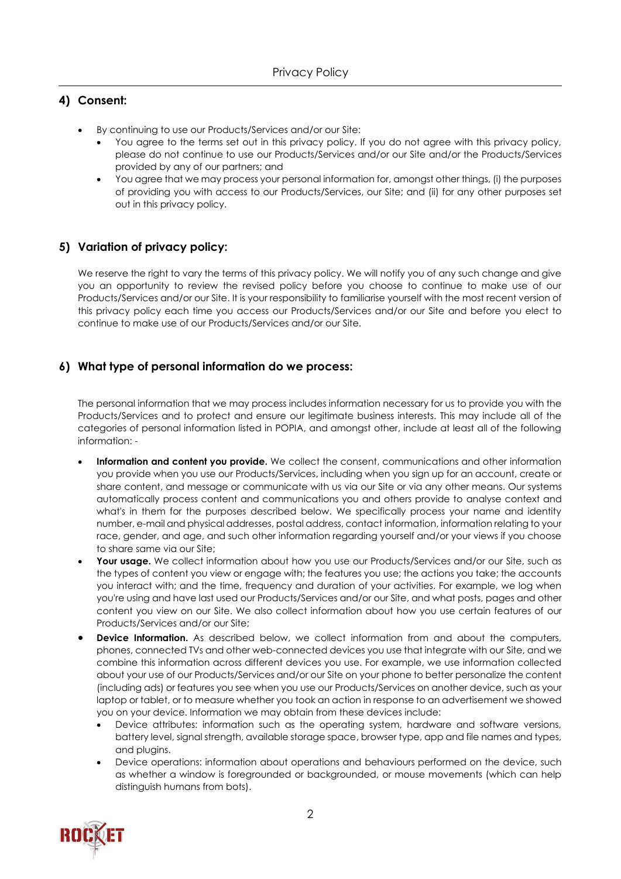# **4) Consent:**

- By continuing to use our Products/Services and/or our Site:
	- You agree to the terms set out in this privacy policy. If you do not agree with this privacy policy, please do not continue to use our Products/Services and/or our Site and/or the Products/Services provided by any of our partners; and
	- You agree that we may process your personal information for, amongst other things, (i) the purposes of providing you with access to our Products/Services, our Site; and (ii) for any other purposes set out in this privacy policy.

# **5) Variation of privacy policy:**

We reserve the right to vary the terms of this privacy policy. We will notify you of any such change and give you an opportunity to review the revised policy before you choose to continue to make use of our Products/Services and/or our Site. It is your responsibility to familiarise yourself with the most recent version of this privacy policy each time you access our Products/Services and/or our Site and before you elect to continue to make use of our Products/Services and/or our Site.

## **6) What type of personal information do we process:**

The personal information that we may process includes information necessary for us to provide you with the Products/Services and to protect and ensure our legitimate business interests. This may include all of the categories of personal information listed in POPIA, and amongst other, include at least all of the following information: -

- **Information and content you provide.** We collect the consent, communications and other information you provide when you use our Products/Services, including when you sign up for an account, create or share content, and message or communicate with us via our Site or via any other means. Our systems automatically process content and communications you and others provide to analyse context and what's in them for the purposes described below. We specifically process your name and identity number, e-mail and physical addresses, postal address, contact information, information relating to your race, gender, and age, and such other information regarding yourself and/or your views if you choose to share same via our Site;
- **Your usage.** We collect information about how you use our Products/Services and/or our Site, such as the types of content you view or engage with; the features you use; the actions you take; the accounts you interact with; and the time, frequency and duration of your activities. For example, we log when you're using and have last used our Products/Services and/or our Site, and what posts, pages and other content you view on our Site. We also collect information about how you use certain features of our Products/Services and/or our Site;
- **Device Information.** As described below, we collect information from and about the computers, phones, connected TVs and other web-connected devices you use that integrate with our Site, and we combine this information across different devices you use. For example, we use information collected about your use of our Products/Services and/or our Site on your phone to better personalize the content (including ads) or features you see when you use our Products/Services on another device, such as your laptop or tablet, or to measure whether you took an action in response to an advertisement we showed you on your device. Information we may obtain from these devices include:
	- Device attributes: information such as the operating system, hardware and software versions, battery level, signal strength, available storage space, browser type, app and file names and types, and plugins.
	- Device operations: information about operations and behaviours performed on the device, such as whether a window is foregrounded or backgrounded, or mouse movements (which can help distinguish humans from bots).

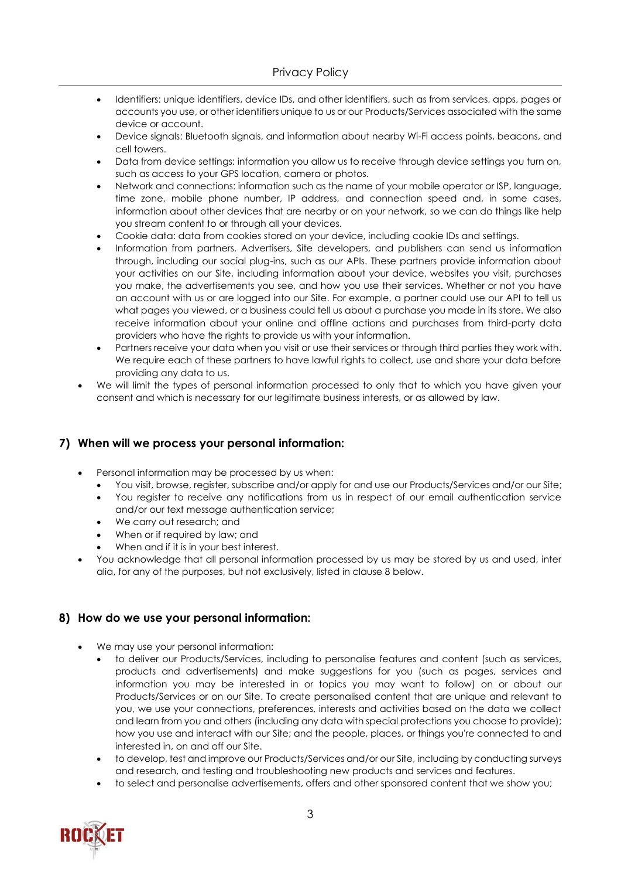- Identifiers: unique identifiers, device IDs, and other identifiers, such as from services, apps, pages or accounts you use, or other identifiers unique to us or our Products/Services associated with the same device or account.
- Device signals: Bluetooth signals, and information about nearby Wi-Fi access points, beacons, and cell towers.
- Data from device settings: information you allow us to receive through device settings you turn on, such as access to your GPS location, camera or photos.
- Network and connections: information such as the name of your mobile operator or ISP, language, time zone, mobile phone number, IP address, and connection speed and, in some cases, information about other devices that are nearby or on your network, so we can do things like help you stream content to or through all your devices.
- Cookie data: data from cookies stored on your device, including cookie IDs and settings.
- Information from partners. Advertisers, Site developers, and publishers can send us information through, including our social plug-ins, such as our APIs. These partners provide information about your activities on our Site, including information about your device, websites you visit, purchases you make, the advertisements you see, and how you use their services. Whether or not you have an account with us or are logged into our Site. For example, a partner could use our API to tell us what pages you viewed, or a business could tell us about a purchase you made in its store. We also receive information about your online and offline actions and purchases from third-party data providers who have the rights to provide us with your information.
- Partners receive your data when you visit or use their services or through third parties they work with. We require each of these partners to have lawful rights to collect, use and share your data before providing any data to us.
- We will limit the types of personal information processed to only that to which you have given your consent and which is necessary for our legitimate business interests, or as allowed by law.

#### **7) When will we process your personal information:**

- Personal information may be processed by us when:
	- You visit, browse, register, subscribe and/or apply for and use our Products/Services and/or our Site;
	- You register to receive any notifications from us in respect of our email authentication service and/or our text message authentication service;
	- We carry out research; and
	- When or if required by law; and
	- When and if it is in your best interest.
- You acknowledge that all personal information processed by us may be stored by us and used, inter alia, for any of the purposes, but not exclusively, listed in clause 8 below.

#### **8) How do we use your personal information:**

- We may use your personal information:
	- to deliver our Products/Services, including to personalise features and content (such as services, products and advertisements) and make suggestions for you (such as pages, services and information you may be interested in or topics you may want to follow) on or about our Products/Services or on our Site. To create personalised content that are unique and relevant to you, we use your connections, preferences, interests and activities based on the data we collect and learn from you and others (including any data with special protections you choose to provide); how you use and interact with our Site; and the people, places, or things you're connected to and interested in, on and off our Site.
	- to develop, test and improve our Products/Services and/or our Site, including by conducting surveys and research, and testing and troubleshooting new products and services and features.
	- to select and personalise advertisements, offers and other sponsored content that we show you;

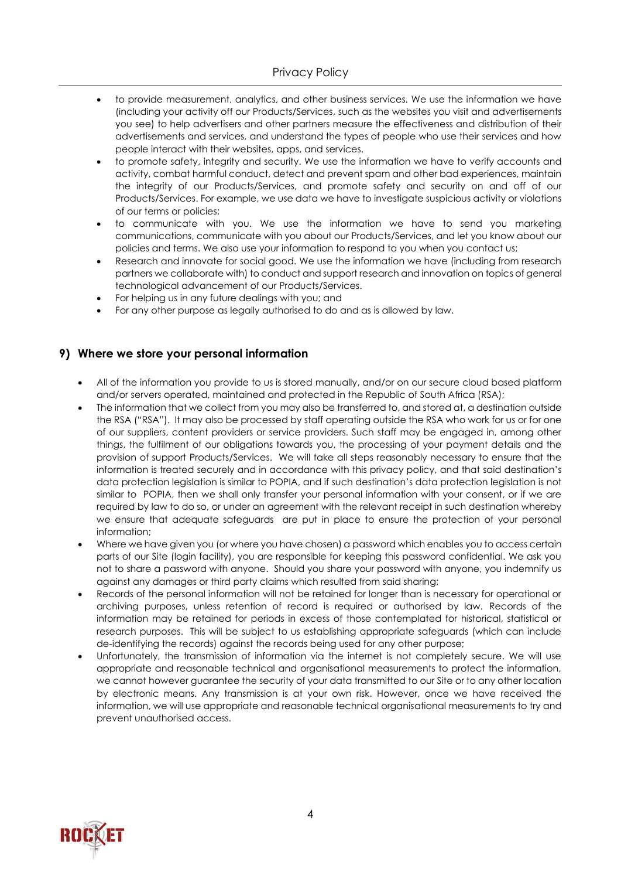- to provide measurement, analytics, and other business services. We use the information we have (including your activity off our Products/Services, such as the websites you visit and advertisements you see) to help advertisers and other partners measure the effectiveness and distribution of their advertisements and services, and understand the types of people who use their services and how people interact with their websites, apps, and services.
- to promote safety, integrity and security. We use the information we have to verify accounts and activity, combat harmful conduct, detect and prevent spam and other bad experiences, maintain the integrity of our Products/Services, and promote safety and security on and off of our Products/Services. For example, we use data we have to investigate suspicious activity or violations of our terms or policies;
- to communicate with you. We use the information we have to send you marketing communications, communicate with you about our Products/Services, and let you know about our policies and terms. We also use your information to respond to you when you contact us;
- Research and innovate for social good. We use the information we have (including from research partners we collaborate with) to conduct and support research and innovation on topics of general technological advancement of our Products/Services.
- For helping us in any future dealings with you; and
- For any other purpose as legally authorised to do and as is allowed by law.

#### **9) Where we store your personal information**

- All of the information you provide to us is stored manually, and/or on our secure cloud based platform and/or servers operated, maintained and protected in the Republic of South Africa (RSA);
- The information that we collect from you may also be transferred to, and stored at, a destination outside the RSA ("RSA"). It may also be processed by staff operating outside the RSA who work for us or for one of our suppliers, content providers or service providers. Such staff may be engaged in, among other things, the fulfilment of our obligations towards you, the processing of your payment details and the provision of support Products/Services. We will take all steps reasonably necessary to ensure that the information is treated securely and in accordance with this privacy policy, and that said destination's data protection legislation is similar to POPIA, and if such destination's data protection legislation is not similar to POPIA, then we shall only transfer your personal information with your consent, or if we are required by law to do so, or under an agreement with the relevant receipt in such destination whereby we ensure that adequate safeguards are put in place to ensure the protection of your personal information;
- Where we have given you (or where you have chosen) a password which enables you to access certain parts of our Site (login facility), you are responsible for keeping this password confidential. We ask you not to share a password with anyone. Should you share your password with anyone, you indemnify us against any damages or third party claims which resulted from said sharing;
- Records of the personal information will not be retained for longer than is necessary for operational or archiving purposes, unless retention of record is required or authorised by law. Records of the information may be retained for periods in excess of those contemplated for historical, statistical or research purposes. This will be subject to us establishing appropriate safeguards (which can include de-identifying the records) against the records being used for any other purpose;
- Unfortunately, the transmission of information via the internet is not completely secure. We will use appropriate and reasonable technical and organisational measurements to protect the information, we cannot however guarantee the security of your data transmitted to our Site or to any other location by electronic means. Any transmission is at your own risk. However, once we have received the information, we will use appropriate and reasonable technical organisational measurements to try and prevent unauthorised access.

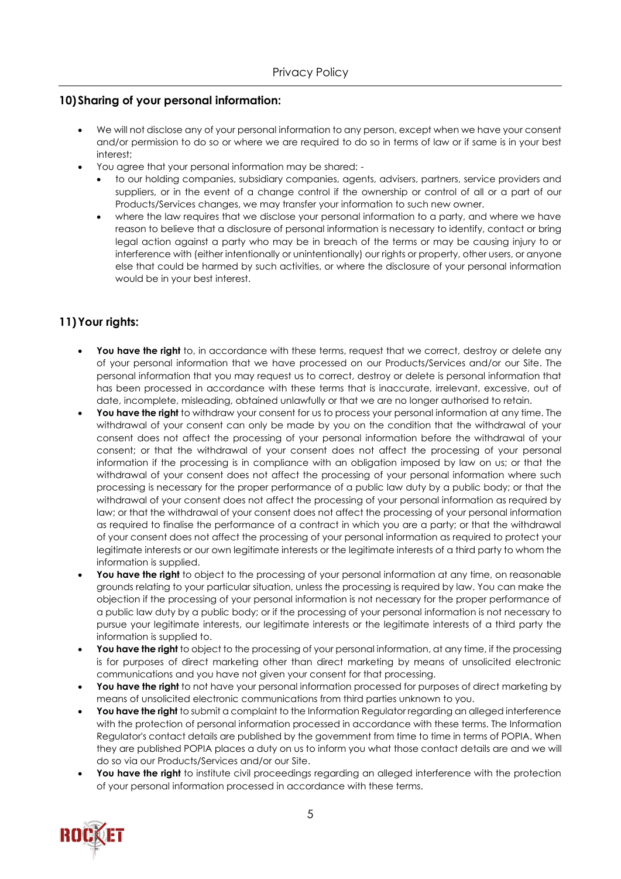## **10)Sharing of your personal information:**

- We will not disclose any of your personal information to any person, except when we have your consent and/or permission to do so or where we are required to do so in terms of law or if same is in your best interest;
- You agree that your personal information may be shared:
	- to our holding companies, subsidiary companies, agents, advisers, partners, service providers and suppliers, or in the event of a change control if the ownership or control of all or a part of our Products/Services changes, we may transfer your information to such new owner.
	- where the law requires that we disclose your personal information to a party, and where we have reason to believe that a disclosure of personal information is necessary to identify, contact or bring legal action against a party who may be in breach of the terms or may be causing injury to or interference with (either intentionally or unintentionally) our rights or property, other users, or anyone else that could be harmed by such activities, or where the disclosure of your personal information would be in your best interest.

# **11)Your rights:**

- You have the right to, in accordance with these terms, request that we correct, destroy or delete any of your personal information that we have processed on our Products/Services and/or our Site. The personal information that you may request us to correct, destroy or delete is personal information that has been processed in accordance with these terms that is inaccurate, irrelevant, excessive, out of date, incomplete, misleading, obtained unlawfully or that we are no longer authorised to retain.
- **You have the right** to withdraw your consent for us to process your personal information at any time. The withdrawal of your consent can only be made by you on the condition that the withdrawal of your consent does not affect the processing of your personal information before the withdrawal of your consent; or that the withdrawal of your consent does not affect the processing of your personal information if the processing is in compliance with an obligation imposed by law on us; or that the withdrawal of your consent does not affect the processing of your personal information where such processing is necessary for the proper performance of a public law duty by a public body; or that the withdrawal of your consent does not affect the processing of your personal information as required by law; or that the withdrawal of your consent does not affect the processing of your personal information as required to finalise the performance of a contract in which you are a party; or that the withdrawal of your consent does not affect the processing of your personal information as required to protect your legitimate interests or our own legitimate interests or the legitimate interests of a third party to whom the information is supplied.
- **You have the right** to object to the processing of your personal information at any time, on reasonable grounds relating to your particular situation, unless the processing is required by law. You can make the objection if the processing of your personal information is not necessary for the proper performance of a public law duty by a public body; or if the processing of your personal information is not necessary to pursue your legitimate interests, our legitimate interests or the legitimate interests of a third party the information is supplied to.
- **You have the right** to object to the processing of your personal information, at any time, if the processing is for purposes of direct marketing other than direct marketing by means of unsolicited electronic communications and you have not given your consent for that processing.
- **You have the right** to not have your personal information processed for purposes of direct marketing by means of unsolicited electronic communications from third parties unknown to you.
- **You have the right** to submit a complaint to the Information Regulator regarding an alleged interference with the protection of personal information processed in accordance with these terms. The Information Regulator's contact details are published by the government from time to time in terms of POPIA. When they are published POPIA places a duty on us to inform you what those contact details are and we will do so via our Products/Services and/or our Site.
- You have the right to institute civil proceedings regarding an alleged interference with the protection of your personal information processed in accordance with these terms.